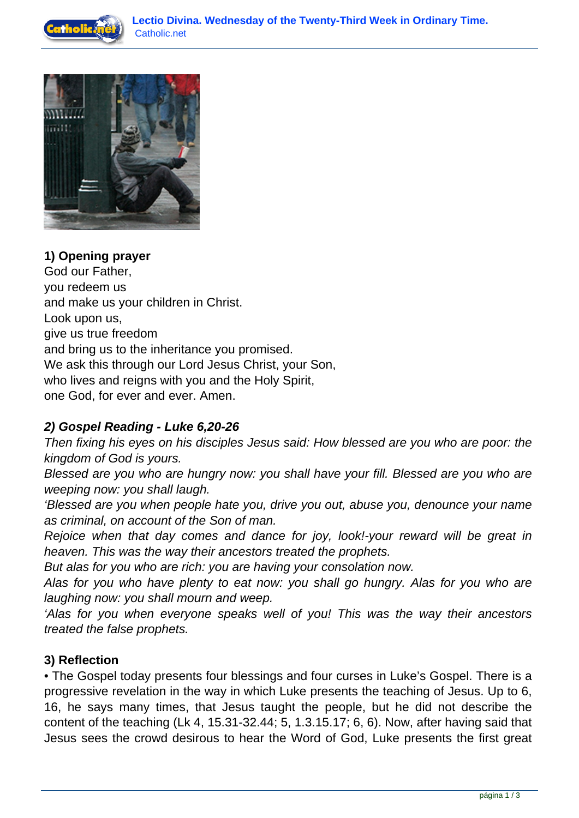



**1) Opening prayer** God our Father, you redeem us and make us your children in Christ. Look upon us, give us true freedom and bring us to the inheritance you promised. We ask this through our Lord Jesus Christ, your Son, who lives and reigns with you and the Holy Spirit, one God, for ever and ever. Amen.

## **2) Gospel Reading - Luke 6,20-26**

Then fixing his eyes on his disciples Jesus said: How blessed are you who are poor: the kingdom of God is yours.

Blessed are you who are hungry now: you shall have your fill. Blessed are you who are weeping now: you shall laugh.

'Blessed are you when people hate you, drive you out, abuse you, denounce your name as criminal, on account of the Son of man.

Rejoice when that day comes and dance for joy, look!-your reward will be great in heaven. This was the way their ancestors treated the prophets.

But alas for you who are rich: you are having your consolation now.

Alas for you who have plenty to eat now: you shall go hungry. Alas for you who are laughing now: you shall mourn and weep.

'Alas for you when everyone speaks well of you! This was the way their ancestors treated the false prophets.

## **3) Reflection**

• The Gospel today presents four blessings and four curses in Luke's Gospel. There is a progressive revelation in the way in which Luke presents the teaching of Jesus. Up to 6, 16, he says many times, that Jesus taught the people, but he did not describe the content of the teaching (Lk 4, 15.31-32.44; 5, 1.3.15.17; 6, 6). Now, after having said that Jesus sees the crowd desirous to hear the Word of God, Luke presents the first great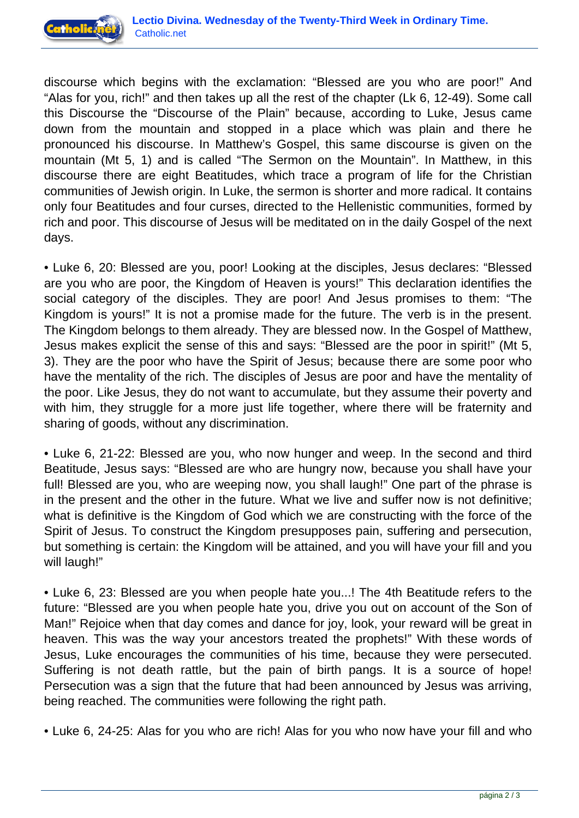

discourse which begins with the exclamation: "Blessed are you who are poor!" And "Alas for you, rich!" and then takes up all the rest of the chapter (Lk 6, 12-49). Some call this Discourse the "Discourse of the Plain" because, according to Luke, Jesus came down from the mountain and stopped in a place which was plain and there he pronounced his discourse. In Matthew's Gospel, this same discourse is given on the mountain (Mt 5, 1) and is called "The Sermon on the Mountain". In Matthew, in this discourse there are eight Beatitudes, which trace a program of life for the Christian communities of Jewish origin. In Luke, the sermon is shorter and more radical. It contains only four Beatitudes and four curses, directed to the Hellenistic communities, formed by rich and poor. This discourse of Jesus will be meditated on in the daily Gospel of the next days.

• Luke 6, 20: Blessed are you, poor! Looking at the disciples, Jesus declares: "Blessed are you who are poor, the Kingdom of Heaven is yours!" This declaration identifies the social category of the disciples. They are poor! And Jesus promises to them: "The Kingdom is yours!" It is not a promise made for the future. The verb is in the present. The Kingdom belongs to them already. They are blessed now. In the Gospel of Matthew, Jesus makes explicit the sense of this and says: "Blessed are the poor in spirit!" (Mt 5, 3). They are the poor who have the Spirit of Jesus; because there are some poor who have the mentality of the rich. The disciples of Jesus are poor and have the mentality of the poor. Like Jesus, they do not want to accumulate, but they assume their poverty and with him, they struggle for a more just life together, where there will be fraternity and sharing of goods, without any discrimination.

• Luke 6, 21-22: Blessed are you, who now hunger and weep. In the second and third Beatitude, Jesus says: "Blessed are who are hungry now, because you shall have your full! Blessed are you, who are weeping now, you shall laugh!" One part of the phrase is in the present and the other in the future. What we live and suffer now is not definitive; what is definitive is the Kingdom of God which we are constructing with the force of the Spirit of Jesus. To construct the Kingdom presupposes pain, suffering and persecution, but something is certain: the Kingdom will be attained, and you will have your fill and you will laugh!"

• Luke 6, 23: Blessed are you when people hate you...! The 4th Beatitude refers to the future: "Blessed are you when people hate you, drive you out on account of the Son of Man!" Rejoice when that day comes and dance for joy, look, your reward will be great in heaven. This was the way your ancestors treated the prophets!" With these words of Jesus, Luke encourages the communities of his time, because they were persecuted. Suffering is not death rattle, but the pain of birth pangs. It is a source of hope! Persecution was a sign that the future that had been announced by Jesus was arriving, being reached. The communities were following the right path.

• Luke 6, 24-25: Alas for you who are rich! Alas for you who now have your fill and who